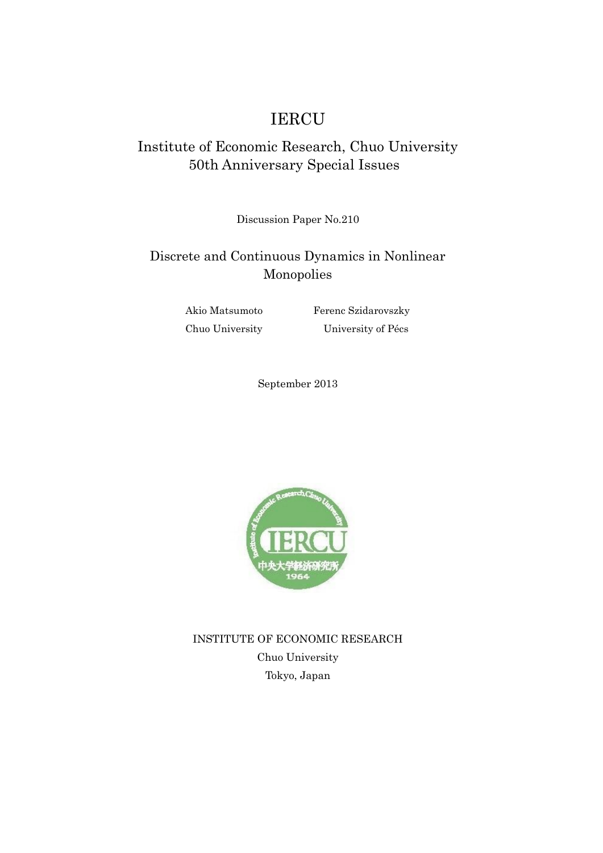# IERCU

# Institute of Economic Research, Chuo University 50th Anniversary Special Issues

Discussion Paper No.210

# Discrete and Continuous Dynamics in Nonlinear Monopolies

Akio Matsumoto Ferenc Szidarovszky Chuo University University of Pécs

September 2013



INSTITUTE OF ECONOMIC RESEARCH Chuo University Tokyo, Japan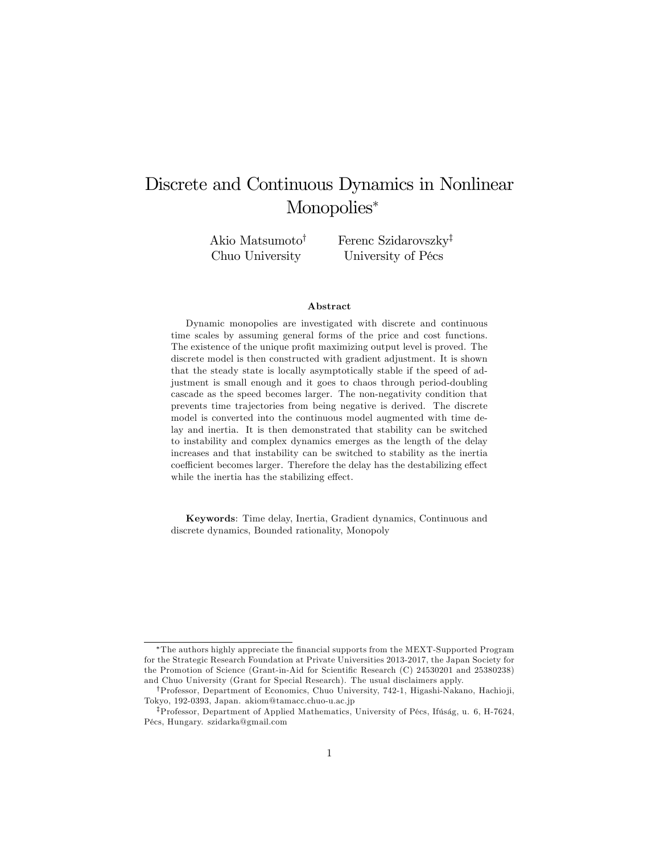# Discrete and Continuous Dynamics in Nonlinear Monopolies\*

Akio Matsumoto<sup>†</sup> Chuo University

Ferenc Szidarovszky<sup>‡</sup> University of Pécs

#### Abstract

Dynamic monopolies are investigated with discrete and continuous time scales by assuming general forms of the price and cost functions. The existence of the unique profit maximizing output level is proved. The discrete model is then constructed with gradient adjustment. It is shown that the steady state is locally asymptotically stable if the speed of adjustment is small enough and it goes to chaos through period-doubling cascade as the speed becomes larger. The non-negativity condition that prevents time trajectories from being negative is derived. The discrete model is converted into the continuous model augmented with time delay and inertia. It is then demonstrated that stability can be switched to instability and complex dynamics emerges as the length of the delay increases and that instability can be switched to stability as the inertia coefficient becomes larger. Therefore the delay has the destabilizing effect while the inertia has the stabilizing effect.

Keywords: Time delay, Inertia, Gradient dynamics, Continuous and discrete dynamics, Bounded rationality, Monopoly

The authors highly appreciate the Önancial supports from the MEXT-Supported Program for the Strategic Research Foundation at Private Universities 2013-2017, the Japan Society for the Promotion of Science (Grant-in-Aid for Scientific Research (C) 24530201 and 25380238) and Chuo University (Grant for Special Research). The usual disclaimers apply.

<sup>&</sup>lt;sup>†</sup>Professor, Department of Economics, Chuo University, 742-1, Higashi-Nakano, Hachioji, Tokyo, 192-0393, Japan. akiom@tamacc.chuo-u.ac.jp

<sup>&</sup>lt;sup>‡</sup>Professor, Department of Applied Mathematics, University of Pécs, Ifúság, u. 6, H-7624, PÈcs, Hungary. szidarka@gmail.com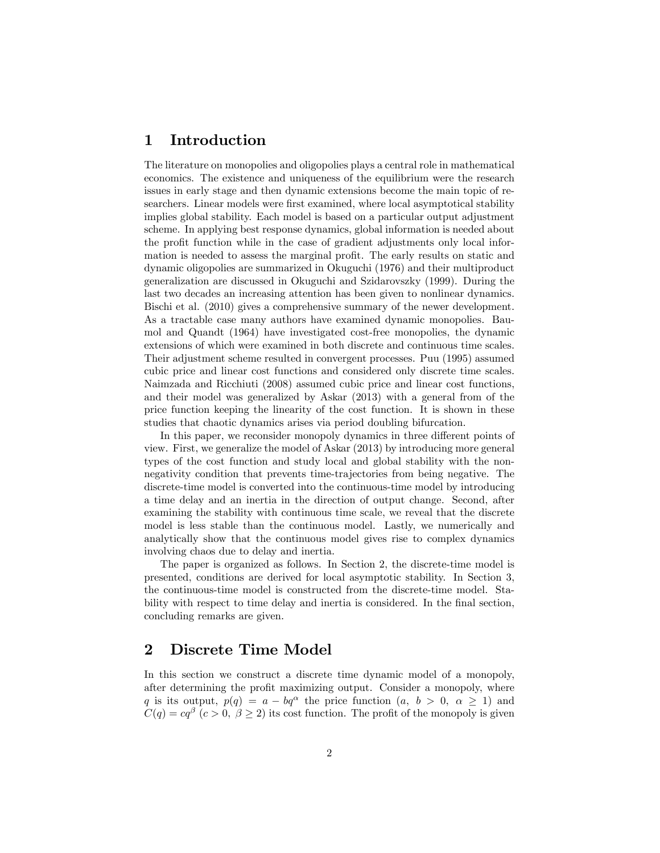### 1 Introduction

The literature on monopolies and oligopolies plays a central role in mathematical economics. The existence and uniqueness of the equilibrium were the research issues in early stage and then dynamic extensions become the main topic of researchers. Linear models were first examined, where local asymptotical stability implies global stability. Each model is based on a particular output adjustment scheme. In applying best response dynamics, global information is needed about the profit function while in the case of gradient adjustments only local information is needed to assess the marginal profit. The early results on static and dynamic oligopolies are summarized in Okuguchi (1976) and their multiproduct generalization are discussed in Okuguchi and Szidarovszky (1999). During the last two decades an increasing attention has been given to nonlinear dynamics. Bischi et al. (2010) gives a comprehensive summary of the newer development. As a tractable case many authors have examined dynamic monopolies. Baumol and Quandt (1964) have investigated cost-free monopolies, the dynamic extensions of which were examined in both discrete and continuous time scales. Their adjustment scheme resulted in convergent processes. Puu (1995) assumed cubic price and linear cost functions and considered only discrete time scales. Naimzada and Ricchiuti (2008) assumed cubic price and linear cost functions, and their model was generalized by Askar (2013) with a general from of the price function keeping the linearity of the cost function. It is shown in these studies that chaotic dynamics arises via period doubling bifurcation.

In this paper, we reconsider monopoly dynamics in three different points of view. First, we generalize the model of Askar (2013) by introducing more general types of the cost function and study local and global stability with the nonnegativity condition that prevents time-trajectories from being negative. The discrete-time model is converted into the continuous-time model by introducing a time delay and an inertia in the direction of output change. Second, after examining the stability with continuous time scale, we reveal that the discrete model is less stable than the continuous model. Lastly, we numerically and analytically show that the continuous model gives rise to complex dynamics involving chaos due to delay and inertia.

The paper is organized as follows. In Section 2, the discrete-time model is presented, conditions are derived for local asymptotic stability. In Section 3, the continuous-time model is constructed from the discrete-time model. Stability with respect to time delay and inertia is considered. In the final section, concluding remarks are given.

## 2 Discrete Time Model

In this section we construct a discrete time dynamic model of a monopoly, after determining the profit maximizing output. Consider a monopoly, where q is its output,  $p(q) = a - bq^{\alpha}$  the price function  $(a, b > 0, \alpha \ge 1)$  and  $C(q) = cq^{\beta}$   $(c > 0, \beta \ge 2)$  its cost function. The profit of the monopoly is given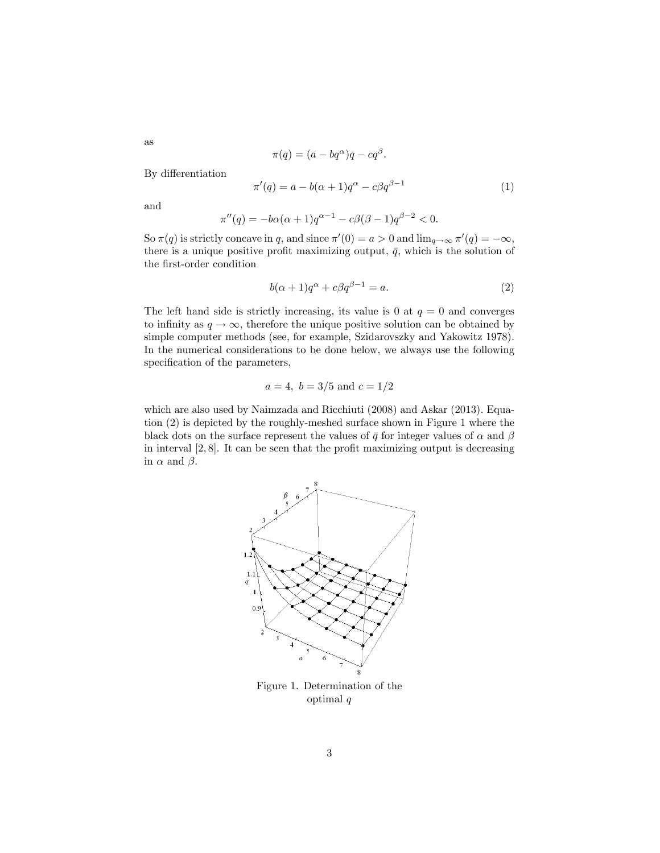$$
\pi(q) = (a - bq^{\alpha})q - cq^{\beta}.
$$

By differentiation

$$
\pi'(q) = a - b(\alpha + 1)q^{\alpha} - c\beta q^{\beta - 1} \tag{1}
$$

and

as

$$
\pi''(q) = -b\alpha(\alpha + 1)q^{\alpha - 1} - c\beta(\beta - 1)q^{\beta - 2} < 0.
$$

So  $\pi(q)$  is strictly concave in q, and since  $\pi'(0) = a > 0$  and  $\lim_{q \to \infty} \pi'(q) = -\infty$ , there is a unique positive profit maximizing output,  $\bar{q}$ , which is the solution of the first-order condition

$$
b(\alpha + 1)q^{\alpha} + c\beta q^{\beta - 1} = a.
$$
 (2)

The left hand side is strictly increasing, its value is 0 at  $q = 0$  and converges to infinity as  $q \to \infty$ , therefore the unique positive solution can be obtained by simple computer methods (see, for example, Szidarovszky and Yakowitz 1978). In the numerical considerations to be done below, we always use the following specification of the parameters,

$$
a = 4
$$
,  $b = 3/5$  and  $c = 1/2$ 

which are also used by Naimzada and Ricchiuti (2008) and Askar (2013). Equation (2) is depicted by the roughly-meshed surface shown in Figure 1 where the black dots on the surface represent the values of  $\bar{q}$  for integer values of  $\alpha$  and  $\beta$ in interval  $[2, 8]$ . It can be seen that the profit maximizing output is decreasing in  $\alpha$  and  $\beta$ .



Figure 1. Determination of the optimal q

3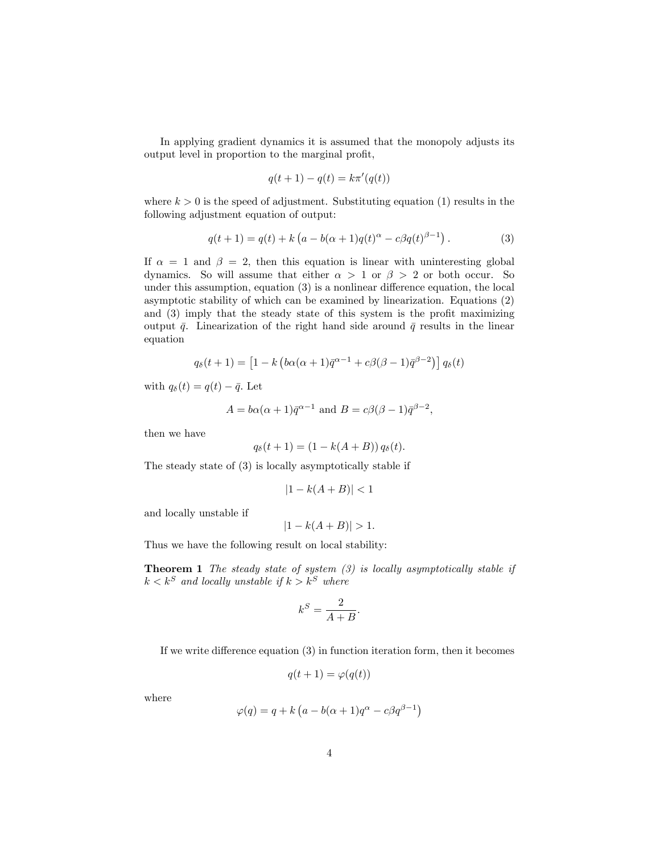In applying gradient dynamics it is assumed that the monopoly adjusts its output level in proportion to the marginal profit,

$$
q(t+1) - q(t) = k\pi'(q(t))
$$

where  $k > 0$  is the speed of adjustment. Substituting equation (1) results in the following adjustment equation of output:

$$
q(t+1) = q(t) + k \left( a - b(\alpha + 1)q(t)^{\alpha} - c\beta q(t)^{\beta - 1} \right).
$$
 (3)

If  $\alpha = 1$  and  $\beta = 2$ , then this equation is linear with uninteresting global dynamics. So will assume that either  $\alpha > 1$  or  $\beta > 2$  or both occur. So under this assumption, equation  $(3)$  is a nonlinear difference equation, the local asymptotic stability of which can be examined by linearization. Equations (2) and  $(3)$  imply that the steady state of this system is the profit maximizing output  $\bar{q}$ . Linearization of the right hand side around  $\bar{q}$  results in the linear equation

$$
q_{\delta}(t+1) = \left[1 - k\left(b\alpha(\alpha+1)\bar{q}^{\alpha-1} + c\beta(\beta-1)\bar{q}^{\beta-2}\right)\right]q_{\delta}(t)
$$

with  $q_\delta(t) = q(t) - \bar{q}$ . Let

$$
A = b\alpha(\alpha + 1)\overline{q}^{\alpha - 1} \text{ and } B = c\beta(\beta - 1)\overline{q}^{\beta - 2},
$$

then we have

$$
q_{\delta}(t+1) = (1 - k(A + B)) q_{\delta}(t).
$$

The steady state of (3) is locally asymptotically stable if

$$
|1 - k(A + B)| < 1
$$

and locally unstable if

$$
|1 - k(A + B)| > 1.
$$

Thus we have the following result on local stability:

**Theorem 1** The steady state of system  $(3)$  is locally asymptotically stable if  $k < k^S$  and locally unstable if  $k > k^S$  where

$$
k^S = \frac{2}{A+B}.
$$

If we write difference equation  $(3)$  in function iteration form, then it becomes

$$
q(t+1) = \varphi(q(t))
$$

where

$$
\varphi(q) = q + k \left( a - b(\alpha + 1)q^{\alpha} - c\beta q^{\beta - 1} \right)
$$

 $\sim$   $\sim$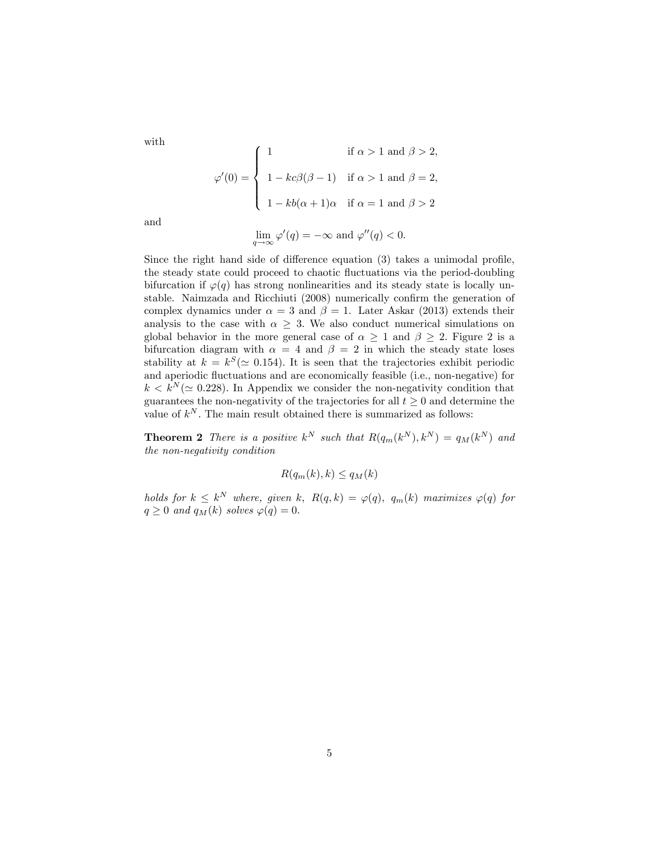with

$$
\varphi'(0) = \begin{cases}\n1 & \text{if } \alpha > 1 \text{ and } \beta > 2, \\
1 - kc\beta(\beta - 1) & \text{if } \alpha > 1 \text{ and } \beta = 2, \\
1 - kb(\alpha + 1)\alpha & \text{if } \alpha = 1 \text{ and } \beta > 2\n\end{cases}
$$

and

$$
\lim_{q \to \infty} \varphi'(q) = -\infty \text{ and } \varphi''(q) < 0.
$$

Since the right hand side of difference equation  $(3)$  takes a unimodal profile, the steady state could proceed to chaotic áuctuations via the period-doubling bifurcation if  $\varphi(q)$  has strong nonlinearities and its steady state is locally unstable. Naimzada and Ricchiuti (2008) numerically confirm the generation of complex dynamics under  $\alpha = 3$  and  $\beta = 1$ . Later Askar (2013) extends their analysis to the case with  $\alpha \geq 3$ . We also conduct numerical simulations on global behavior in the more general case of  $\alpha \geq 1$  and  $\beta \geq 2$ . Figure 2 is a bifurcation diagram with  $\alpha = 4$  and  $\beta = 2$  in which the steady state loses stability at  $k = k^S (\simeq 0.154)$ . It is seen that the trajectories exhibit periodic and aperiodic fluctuations and are economically feasible (i.e., non-negative) for  $k < k^N (\simeq 0.228)$ . In Appendix we consider the non-negativity condition that guarantees the non-negativity of the trajectories for all  $t \geq 0$  and determine the value of  $k^N$ . The main result obtained there is summarized as follows:

**Theorem 2** There is a positive  $k^N$  such that  $R(q_m(k^N), k^N) = q_M(k^N)$  and the non-negativity condition

$$
R(q_m(k),k) \le q_M(k)
$$

holds for  $k \leq k^N$  where, given k,  $R(q, k) = \varphi(q)$ ,  $q_m(k)$  maximizes  $\varphi(q)$  for  $q \ge 0$  and  $q_M(k)$  solves  $\varphi(q) = 0$ .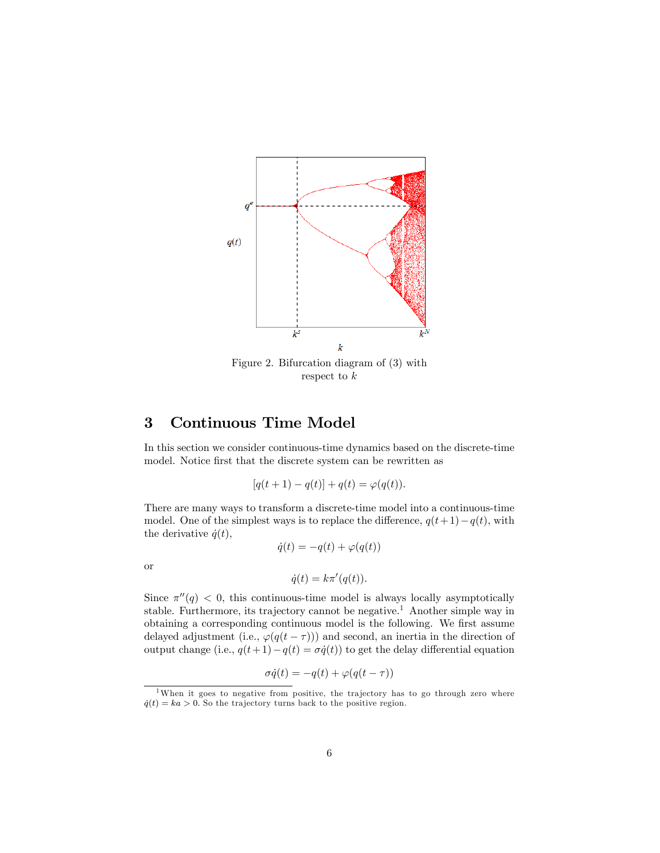

Figure 2. Bifurcation diagram of (3) with respect to k

## 3 Continuous Time Model

In this section we consider continuous-time dynamics based on the discrete-time model. Notice first that the discrete system can be rewritten as

$$
[q(t + 1) - q(t)] + q(t) = \varphi(q(t)).
$$

There are many ways to transform a discrete-time model into a continuous-time model. One of the simplest ways is to replace the difference,  $q(t+1)-q(t)$ , with the derivative  $\dot{q}(t)$ ,

$$
\dot{q}(t) = -q(t) + \varphi(q(t))
$$

or

$$
\dot{q}(t) = k\pi'(q(t)).
$$

Since  $\pi''(q) < 0$ , this continuous-time model is always locally asymptotically stable. Furthermore, its trajectory cannot be negative.<sup>1</sup> Another simple way in obtaining a corresponding continuous model is the following. We first assume delayed adjustment (i.e.,  $\varphi(q(t-\tau))$ ) and second, an inertia in the direction of output change (i.e.,  $q(t+1)-q(t) = \sigma\dot{q}(t)$ ) to get the delay differential equation

$$
\sigma \dot{q}(t) = -q(t) + \varphi(q(t-\tau))
$$

<sup>&</sup>lt;sup>1</sup>When it goes to negative from positive, the trajectory has to go through zero where  $\dot{q}(t) = ka > 0.$  So the trajectory turns back to the positive region.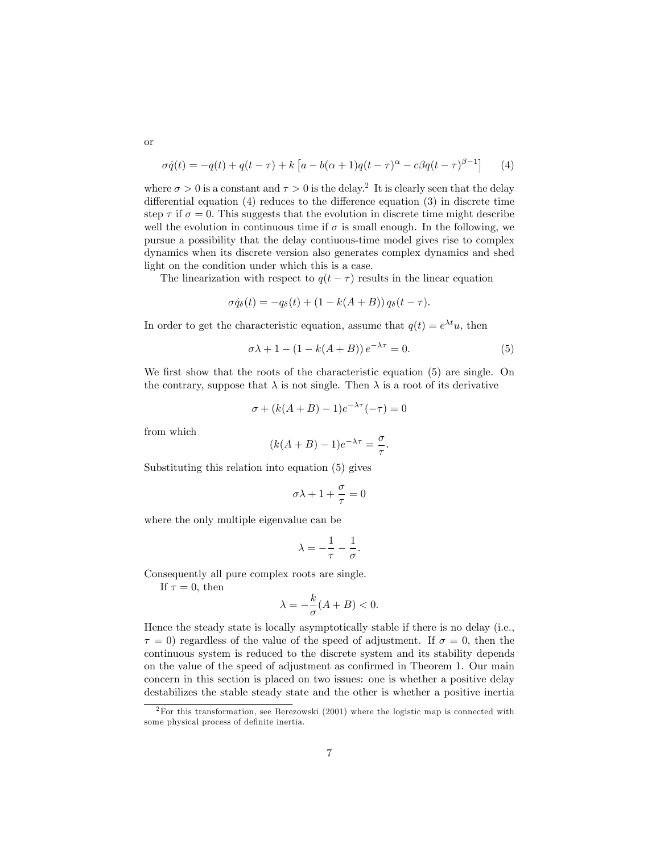$$
\sigma \dot{q}(t) = -q(t) + q(t - \tau) + k \left[ a - b(\alpha + 1)q(t - \tau)^{\alpha} - c\beta q(t - \tau)^{\beta - 1} \right] \tag{4}
$$

where  $\sigma > 0$  is a constant and  $\tau > 0$  is the delay.<sup>2</sup> It is clearly seen that the delay differential equation  $(4)$  reduces to the difference equation  $(3)$  in discrete time step  $\tau$  if  $\sigma = 0$ . This suggests that the evolution in discrete time might describe well the evolution in continuous time if  $\sigma$  is small enough. In the following, we pursue a possibility that the delay contiuous-time model gives rise to complex dynamics when its discrete version also generates complex dynamics and shed light on the condition under which this is a case.

The linearization with respect to  $q(t - \tau)$  results in the linear equation

$$
\sigma \dot{q}_{\delta}(t) = -q_{\delta}(t) + (1 - k(A+B)) q_{\delta}(t - \tau).
$$

In order to get the characteristic equation, assume that  $q(t) = e^{\lambda t}u$ , then

$$
\sigma \lambda + 1 - (1 - k(A + B)) e^{-\lambda \tau} = 0.
$$
 (5)

We first show that the roots of the characteristic equation  $(5)$  are single. On the contrary, suppose that  $\lambda$  is not single. Then  $\lambda$  is a root of its derivative

$$
\sigma + (k(A + B) - 1)e^{-\lambda \tau}(-\tau) = 0
$$

from which

$$
(k(A+B)-1)e^{-\lambda \tau} = \frac{\sigma}{\tau}.
$$

Substituting this relation into equation (5) gives

$$
\sigma\lambda+1+\frac{\sigma}{\tau}=0
$$

where the only multiple eigenvalue can be

$$
\lambda = -\frac{1}{\tau} - \frac{1}{\sigma}.
$$

Consequently all pure complex roots are single.

If  $\tau = 0$ , then

$$
\lambda = -\frac{k}{\sigma}(A+B) < 0.
$$

Hence the steady state is locally asymptotically stable if there is no delay (i.e.,  $\tau = 0$ ) regardless of the value of the speed of adjustment. If  $\sigma = 0$ , then the continuous system is reduced to the discrete system and its stability depends on the value of the speed of adjustment as confirmed in Theorem 1. Our main concern in this section is placed on two issues: one is whether a positive delay destabilizes the stable steady state and the other is whether a positive inertia

or

<sup>&</sup>lt;sup>2</sup>For this transformation, see Berezowski  $(2001)$  where the logistic map is connected with some physical process of definite inertia.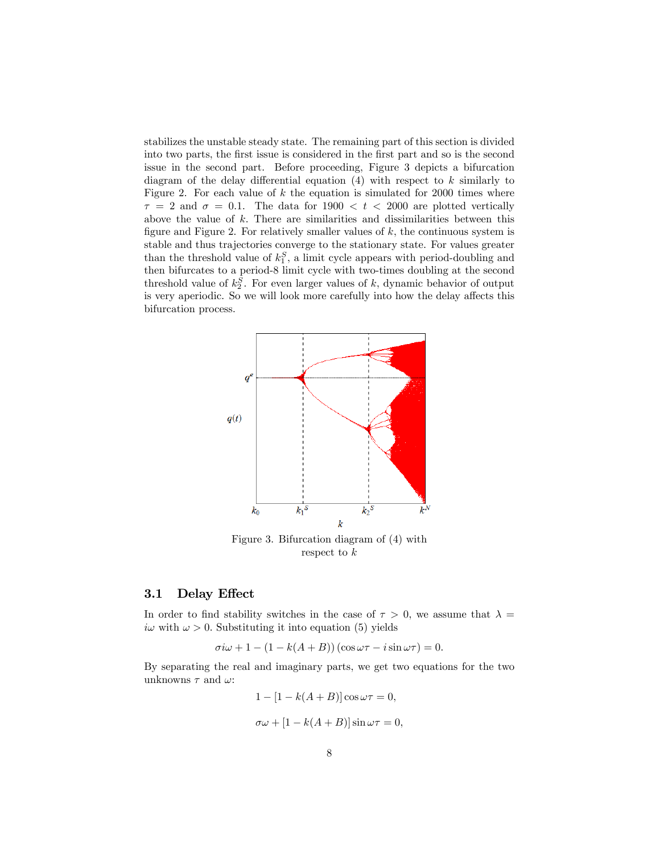stabilizes the unstable steady state. The remaining part of this section is divided into two parts, the first issue is considered in the first part and so is the second issue in the second part. Before proceeding, Figure 3 depicts a bifurcation diagram of the delay differential equation  $(4)$  with respect to k similarly to Figure 2. For each value of  $k$  the equation is simulated for 2000 times where  $\tau = 2$  and  $\sigma = 0.1$ . The data for 1900  $\lt t \lt 2000$  are plotted vertically above the value of  $k$ . There are similarities and dissimilarities between this figure and Figure 2. For relatively smaller values of  $k$ , the continuous system is stable and thus trajectories converge to the stationary state. For values greater than the threshold value of  $k_1^S$ , a limit cycle appears with period-doubling and then bifurcates to a period-8 limit cycle with two-times doubling at the second threshold value of  $k_2^S$ . For even larger values of k, dynamic behavior of output is very aperiodic. So we will look more carefully into how the delay affects this bifurcation process.



Figure 3. Bifurcation diagram of (4) with respect to k

#### 3.1 Delay Effect

In order to find stability switches in the case of  $\tau > 0$ , we assume that  $\lambda =$  $i\omega$  with  $\omega > 0$ . Substituting it into equation (5) yields

$$
\sigma i\omega + 1 - (1 - k(A + B))(\cos \omega \tau - i \sin \omega \tau) = 0.
$$

By separating the real and imaginary parts, we get two equations for the two unknowns  $\tau$  and  $\omega$ :

$$
1 - [1 - k(A + B)] \cos \omega \tau = 0,
$$
  

$$
\sigma \omega + [1 - k(A + B)] \sin \omega \tau = 0,
$$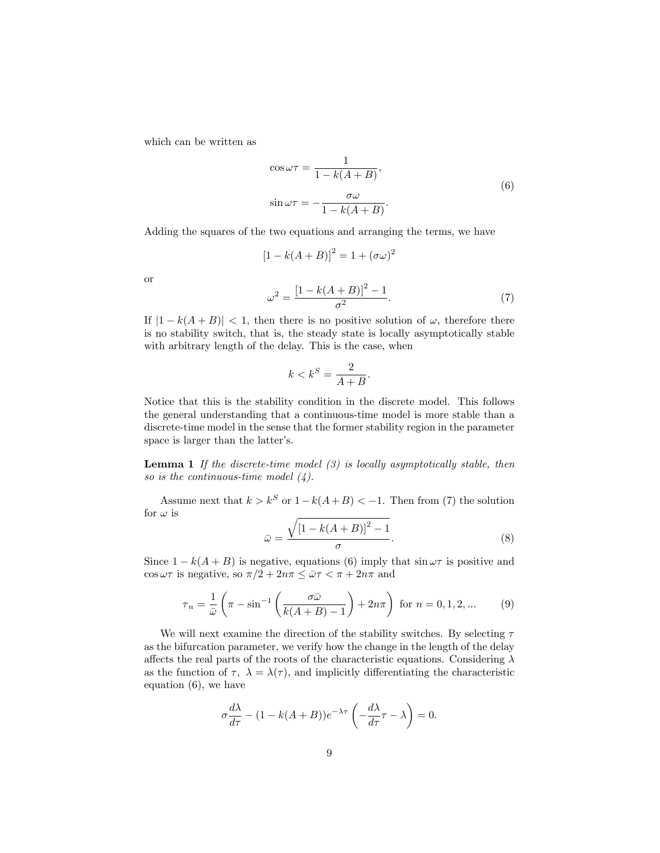which can be written as

$$
\cos \omega \tau = \frac{1}{1 - k(A + B)},
$$
  
\n
$$
\sin \omega \tau = -\frac{\sigma \omega}{1 - k(A + B)}.
$$
\n(6)

Adding the squares of the two equations and arranging the terms, we have

$$
[1 - k(A + B)]^{2} = 1 + (\sigma \omega)^{2}
$$

or

$$
\omega^2 = \frac{[1 - k(A + B)]^2 - 1}{\sigma^2}.
$$
\n(7)

If  $|1 - k(A + B)| < 1$ , then there is no positive solution of  $\omega$ , therefore there is no stability switch, that is, the steady state is locally asymptotically stable with arbitrary length of the delay. This is the case, when

$$
k < k^S = \frac{2}{A+B}.
$$

Notice that this is the stability condition in the discrete model. This follows the general understanding that a continuous-time model is more stable than a discrete-time model in the sense that the former stability region in the parameter space is larger than the latter's.

**Lemma 1** If the discrete-time model  $(3)$  is locally asymptotically stable, then so is the continuous-time model  $(4)$ .

Assume next that  $k > k^S$  or  $1 - k(A+B) < -1$ . Then from (7) the solution for  $\omega$  is

$$
\bar{\omega} = \frac{\sqrt{\left[1 - k(A+B)\right]^2 - 1}}{\sigma}.\tag{8}
$$

Since  $1 - k(A + B)$  is negative, equations (6) imply that  $\sin \omega \tau$  is positive and  $\cos \omega \tau$  is negative, so  $\pi/2 + 2n\pi \leq \bar{\omega}\tau < \pi + 2n\pi$  and

$$
\tau_n = \frac{1}{\bar{\omega}} \left( \pi - \sin^{-1} \left( \frac{\sigma \bar{\omega}}{k(A+B) - 1} \right) + 2n\pi \right) \text{ for } n = 0, 1, 2, \dots \tag{9}
$$

We will next examine the direction of the stability switches. By selecting  $\tau$ as the bifurcation parameter, we verify how the change in the length of the delay affects the real parts of the roots of the characteristic equations. Considering  $\lambda$ as the function of  $\tau$ ,  $\lambda = \lambda(\tau)$ , and implicitly differentiating the characteristic equation (6), we have

$$
\sigma \frac{d\lambda}{d\tau} - (1 - k(A + B))e^{-\lambda \tau} \left(-\frac{d\lambda}{d\tau}\tau - \lambda\right) = 0.
$$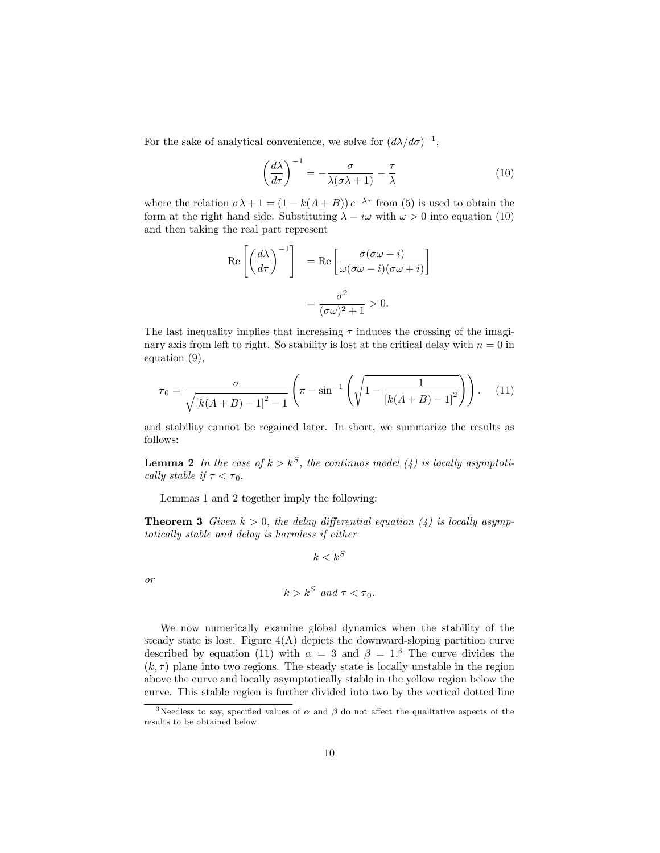For the sake of analytical convenience, we solve for  $(d\lambda/d\sigma)^{-1}$ ,

$$
\left(\frac{d\lambda}{d\tau}\right)^{-1} = -\frac{\sigma}{\lambda(\sigma\lambda+1)} - \frac{\tau}{\lambda}
$$
\n(10)

where the relation  $\sigma \lambda + 1 = (1 - k(A + B)) e^{-\lambda \tau}$  from (5) is used to obtain the form at the right hand side. Substituting  $\lambda = i\omega$  with  $\omega > 0$  into equation (10) and then taking the real part represent

$$
\operatorname{Re}\left[\left(\frac{d\lambda}{d\tau}\right)^{-1}\right] = \operatorname{Re}\left[\frac{\sigma(\sigma\omega+i)}{\omega(\sigma\omega-i)(\sigma\omega+i)}\right]
$$

$$
=\frac{\sigma^2}{(\sigma\omega)^2+1} > 0.
$$

The last inequality implies that increasing  $\tau$  induces the crossing of the imaginary axis from left to right. So stability is lost at the critical delay with  $n = 0$  in equation (9),

$$
\tau_0 = \frac{\sigma}{\sqrt{\left[k(A+B)-1\right]^2 - 1}} \left(\pi - \sin^{-1}\left(\sqrt{1 - \frac{1}{\left[k(A+B)-1\right]^2}}\right)\right). \tag{11}
$$

and stability cannot be regained later. In short, we summarize the results as follows:

**Lemma 2** In the case of  $k > k^S$ , the continuos model (4) is locally asymptotically stable if  $\tau < \tau_0$ .

Lemmas 1 and 2 together imply the following:

**Theorem 3** Given  $k > 0$ , the delay differential equation (4) is locally asymptotically stable and delay is harmless if either

$$
k < k^S
$$

or

$$
k > k^S \text{ and } \tau < \tau_0.
$$

We now numerically examine global dynamics when the stability of the steady state is lost. Figure  $4(A)$  depicts the downward-sloping partition curve described by equation (11) with  $\alpha = 3$  and  $\beta = 1$ .<sup>3</sup> The curve divides the  $(k, \tau)$  plane into two regions. The steady state is locally unstable in the region above the curve and locally asymptotically stable in the yellow region below the curve. This stable region is further divided into two by the vertical dotted line

<sup>&</sup>lt;sup>3</sup>Needless to say, specified values of  $\alpha$  and  $\beta$  do not affect the qualitative aspects of the results to be obtained below.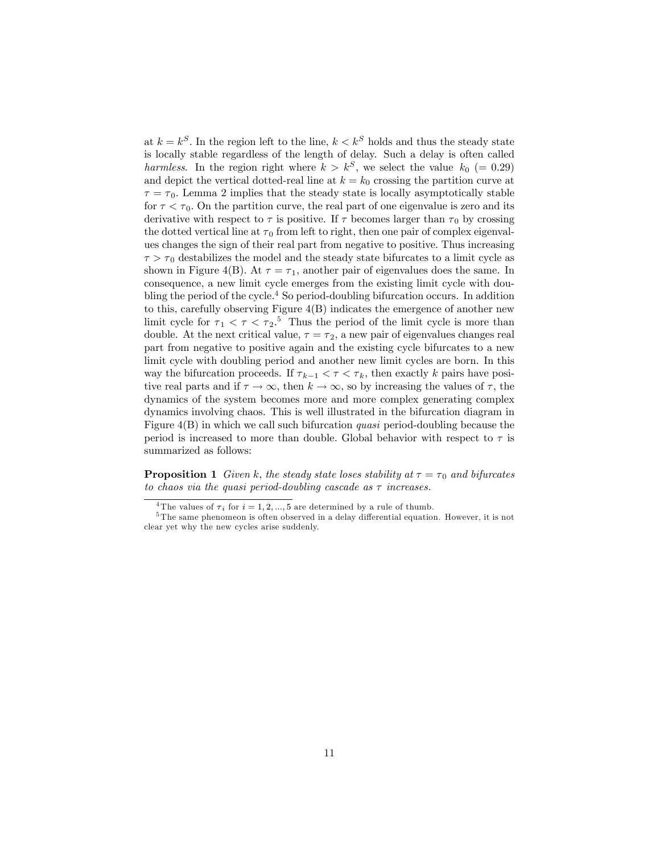at  $k = k<sup>S</sup>$ . In the region left to the line,  $k < k<sup>S</sup>$  holds and thus the steady state is locally stable regardless of the length of delay. Such a delay is often called harmless. In the region right where  $k > k^S$ , we select the value  $k_0$  (= 0.29) and depict the vertical dotted-real line at  $k = k_0$  crossing the partition curve at  $\tau = \tau_0$ . Lemma 2 implies that the steady state is locally asymptotically stable for  $\tau < \tau_0$ . On the partition curve, the real part of one eigenvalue is zero and its derivative with respect to  $\tau$  is positive. If  $\tau$  becomes larger than  $\tau_0$  by crossing the dotted vertical line at  $\tau_0$  from left to right, then one pair of complex eigenvalues changes the sign of their real part from negative to positive. Thus increasing  $\tau > \tau_0$  destabilizes the model and the steady state bifurcates to a limit cycle as shown in Figure 4(B). At  $\tau = \tau_1$ , another pair of eigenvalues does the same. In consequence, a new limit cycle emerges from the existing limit cycle with doubling the period of the cycle.<sup>4</sup> So period-doubling bifurcation occurs. In addition to this, carefully observing Figure 4(B) indicates the emergence of another new limit cycle for  $\tau_1 < \tau < \tau_2$ <sup>5</sup>. Thus the period of the limit cycle is more than double. At the next critical value,  $\tau = \tau_2$ , a new pair of eigenvalues changes real part from negative to positive again and the existing cycle bifurcates to a new limit cycle with doubling period and another new limit cycles are born. In this way the bifurcation proceeds. If  $\tau_{k-1} < \tau < \tau_k$ , then exactly k pairs have positive real parts and if  $\tau \to \infty$ , then  $k \to \infty$ , so by increasing the values of  $\tau$ , the dynamics of the system becomes more and more complex generating complex dynamics involving chaos. This is well illustrated in the bifurcation diagram in Figure  $4(B)$  in which we call such bifurcation *quasi* period-doubling because the period is increased to more than double. Global behavior with respect to  $\tau$  is summarized as follows:

**Proposition 1** Given k, the steady state loses stability at  $\tau = \tau_0$  and bifurcates to chaos via the quasi period-doubling cascade as  $\tau$  increases.

<sup>&</sup>lt;sup>4</sup>The values of  $\tau_i$  for  $i = 1, 2, ..., 5$  are determined by a rule of thumb.

 $5$ The same phenomeon is often observed in a delay differential equation. However, it is not clear yet why the new cycles arise suddenly.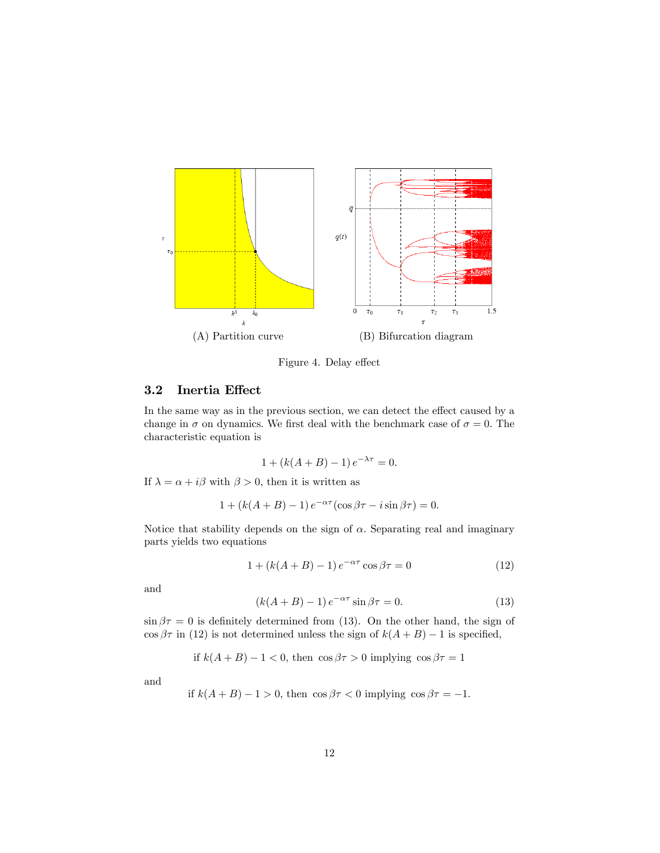

Figure 4. Delay effect

### 3.2 Inertia Effect

In the same way as in the previous section, we can detect the effect caused by a change in  $\sigma$  on dynamics. We first deal with the benchmark case of  $\sigma = 0$ . The characteristic equation is

$$
1 + (k(A + B) - 1) e^{-\lambda \tau} = 0.
$$

If  $\lambda = \alpha + i\beta$  with  $\beta > 0$ , then it is written as

$$
1 + (k(A + B) - 1) e^{-\alpha \tau} (\cos \beta \tau - i \sin \beta \tau) = 0.
$$

Notice that stability depends on the sign of  $\alpha$ . Separating real and imaginary parts yields two equations

$$
1 + (k(A + B) - 1) e^{-\alpha \tau} \cos \beta \tau = 0 \tag{12}
$$

and

$$
(k(A+B)-1) e^{-\alpha \tau} \sin \beta \tau = 0.
$$
 (13)

 $\sin \beta \tau = 0$  is definitely determined from (13). On the other hand, the sign of  $\cos \beta \tau$  in (12) is not determined unless the sign of  $k(A + B) - 1$  is specified,

if 
$$
k(A + B) - 1 < 0
$$
, then  $\cos \beta \tau > 0$  implying  $\cos \beta \tau = 1$ 

and

if 
$$
k(A + B) - 1 > 0
$$
, then  $\cos \beta \tau < 0$  implying  $\cos \beta \tau = -1$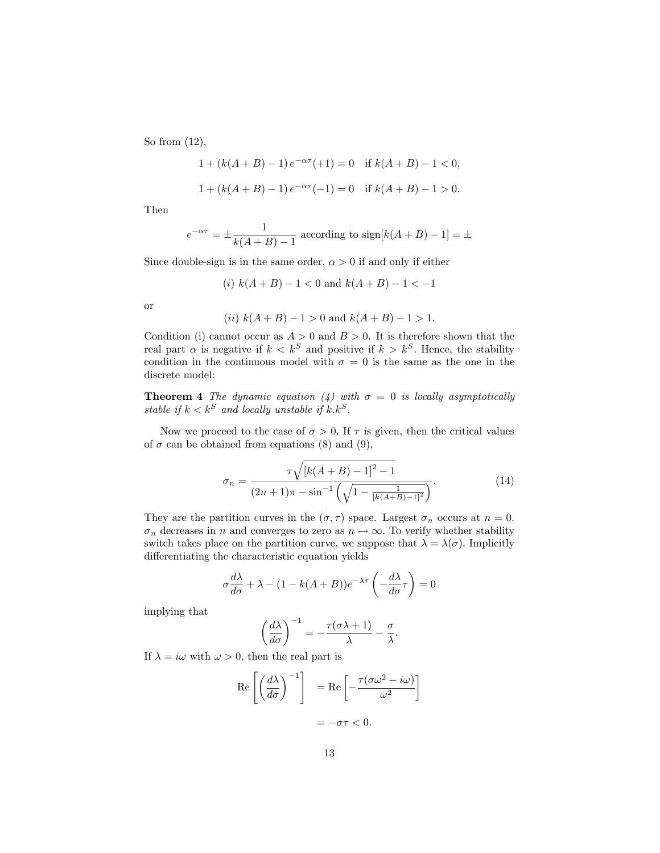So from (12),

$$
1 + (k(A + B) - 1) e^{-\alpha \tau} (1) = 0 \quad \text{if } k(A + B) - 1 < 0,
$$
  

$$
1 + (k(A + B) - 1) e^{-\alpha \tau} (-1) = 0 \quad \text{if } k(A + B) - 1 > 0.
$$

Then

$$
e^{-\alpha \tau} = \pm \frac{1}{k(A+B)-1}
$$
 according to sign $[k(A+B)-1] = \pm$ 

Since double-sign is in the same order,  $\alpha > 0$  if and only if either

$$
(i) k(A + B) - 1 < 0 \text{ and } k(A + B) - 1 < -1
$$

or

(*ii*) 
$$
k(A + B) - 1 > 0
$$
 and  $k(A + B) - 1 > 1$ .

Condition (i) cannot occur as  $A > 0$  and  $B > 0$ . It is therefore shown that the real part  $\alpha$  is negative if  $k < k^S$  and positive if  $k > k^S$ . Hence, the stability condition in the continuous model with  $\sigma = 0$  is the same as the one in the discrete model:

**Theorem 4** The dynamic equation (4) with  $\sigma = 0$  is locally asymptotically stable if  $k < k^S$  and locally unstable if  $k.k^S$ .

Now we proceed to the case of  $\sigma > 0$ . If  $\tau$  is given, then the critical values of  $\sigma$  can be obtained from equations (8) and (9),

$$
\sigma_n = \frac{\tau \sqrt{\left[k(A+B)-1\right]^2 - 1}}{(2n+1)\pi - \sin^{-1}\left(\sqrt{1 - \frac{1}{\left[k(A+B)-1\right]^2}}\right)}.
$$
(14)

They are the partition curves in the  $(\sigma, \tau)$  space. Largest  $\sigma_n$  occurs at  $n = 0$ .  $\sigma_n$  decreases in n and converges to zero as  $n \to \infty$ . To verify whether stability switch takes place on the partition curve, we suppose that  $\lambda = \lambda(\sigma)$ . Implicitly differentiating the characteristic equation yields

$$
\sigma \frac{d\lambda}{d\sigma} + \lambda - (1 - k(A + B))e^{-\lambda \tau} \left(-\frac{d\lambda}{d\sigma} \tau\right) = 0
$$

implying that

$$
\left(\frac{d\lambda}{d\sigma}\right)^{-1} = -\frac{\tau(\sigma\lambda+1)}{\lambda} - \frac{\sigma}{\lambda}.
$$

If  $\lambda = i\omega$  with  $\omega > 0$ , then the real part is

$$
\operatorname{Re}\left[\left(\frac{d\lambda}{d\sigma}\right)^{-1}\right] = \operatorname{Re}\left[-\frac{\tau(\sigma\omega^2 - i\omega)}{\omega^2}\right]
$$

$$
= -\sigma\tau < 0.
$$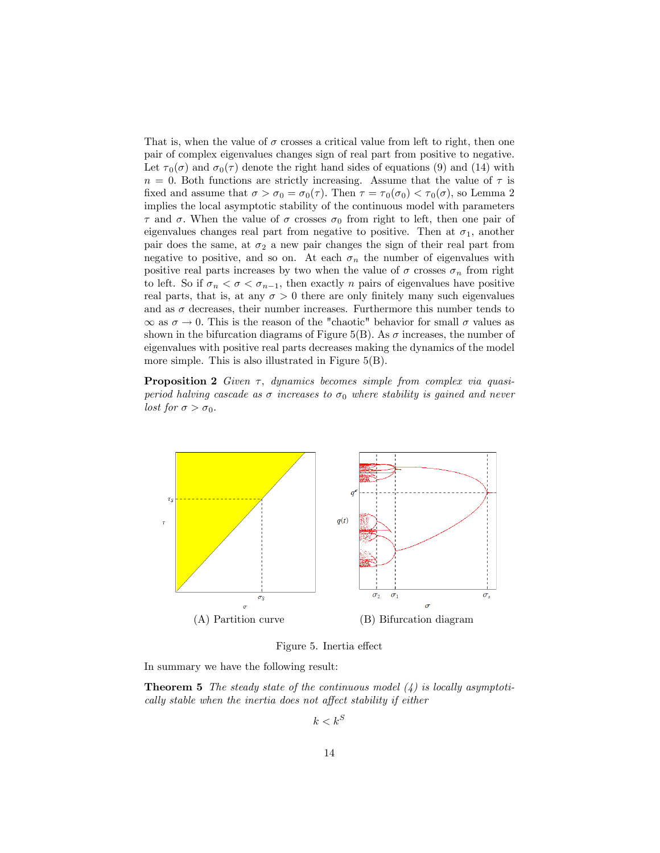That is, when the value of  $\sigma$  crosses a critical value from left to right, then one pair of complex eigenvalues changes sign of real part from positive to negative. Let  $\tau_0(\sigma)$  and  $\sigma_0(\tau)$  denote the right hand sides of equations (9) and (14) with  $n = 0$ . Both functions are strictly increasing. Assume that the value of  $\tau$  is fixed and assume that  $\sigma > \sigma_0 = \sigma_0(\tau)$ . Then  $\tau = \tau_0(\sigma_0) < \tau_0(\sigma)$ , so Lemma 2 implies the local asymptotic stability of the continuous model with parameters  $\tau$  and  $\sigma$ . When the value of  $\sigma$  crosses  $\sigma_0$  from right to left, then one pair of eigenvalues changes real part from negative to positive. Then at  $\sigma_1$ , another pair does the same, at  $\sigma_2$  a new pair changes the sign of their real part from negative to positive, and so on. At each  $\sigma_n$  the number of eigenvalues with positive real parts increases by two when the value of  $\sigma$  crosses  $\sigma_n$  from right to left. So if  $\sigma_n < \sigma < \sigma_{n-1}$ , then exactly n pairs of eigenvalues have positive real parts, that is, at any  $\sigma > 0$  there are only finitely many such eigenvalues and as  $\sigma$  decreases, their number increases. Furthermore this number tends to  $\infty$  as  $\sigma \to 0$ . This is the reason of the "chaotic" behavior for small  $\sigma$  values as shown in the bifurcation diagrams of Figure 5(B). As  $\sigma$  increases, the number of eigenvalues with positive real parts decreases making the dynamics of the model more simple. This is also illustrated in Figure 5(B).

**Proposition 2** Given  $\tau$ , dynamics becomes simple from complex via quasiperiod halving cascade as  $\sigma$  increases to  $\sigma_0$  where stability is gained and never lost for  $\sigma > \sigma_0$ .



Figure 5. Inertia effect

In summary we have the following result:

**Theorem 5** The steady state of the continuous model  $(4)$  is locally asymptotically stable when the inertia does not affect stability if either

 $k < k^S$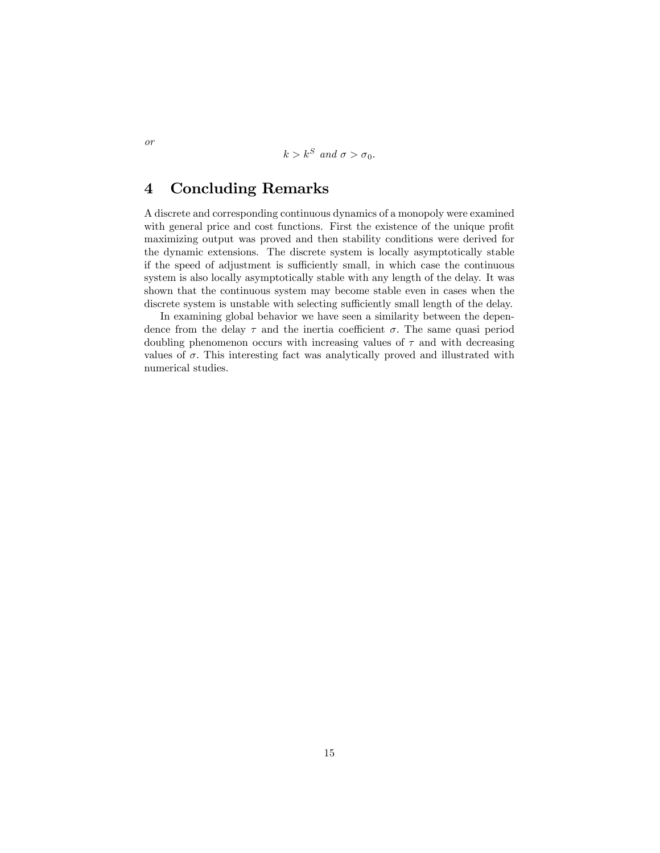$k > k^S$  and  $\sigma > \sigma_0$ .

## 4 Concluding Remarks

A discrete and corresponding continuous dynamics of a monopoly were examined with general price and cost functions. First the existence of the unique profit maximizing output was proved and then stability conditions were derived for the dynamic extensions. The discrete system is locally asymptotically stable if the speed of adjustment is sufficiently small, in which case the continuous system is also locally asymptotically stable with any length of the delay. It was shown that the continuous system may become stable even in cases when the discrete system is unstable with selecting sufficiently small length of the delay.

In examining global behavior we have seen a similarity between the dependence from the delay  $\tau$  and the inertia coefficient  $\sigma$ . The same quasi period doubling phenomenon occurs with increasing values of  $\tau$  and with decreasing values of  $\sigma$ . This interesting fact was analytically proved and illustrated with numerical studies.

or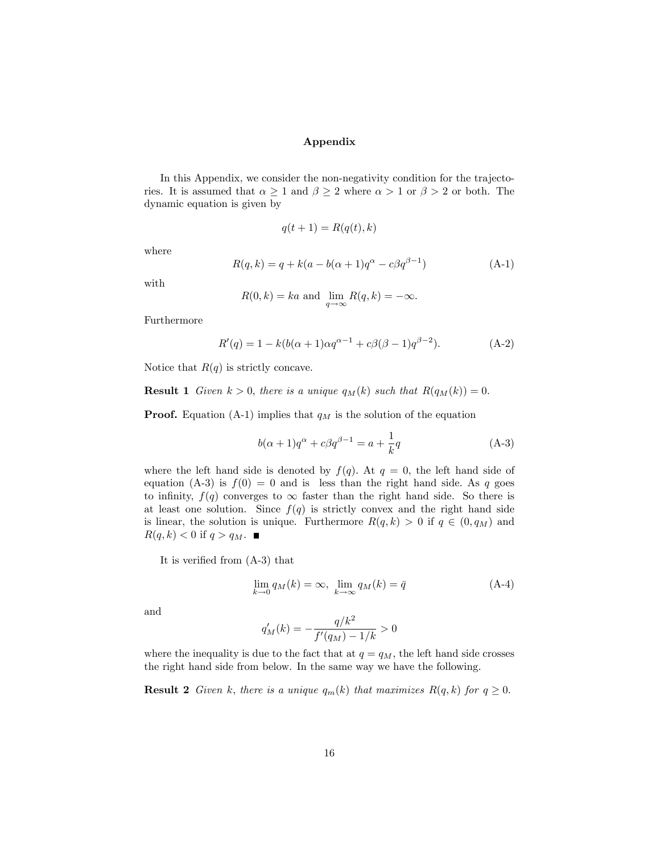### Appendix

In this Appendix, we consider the non-negativity condition for the trajectories. It is assumed that  $\alpha \geq 1$  and  $\beta \geq 2$  where  $\alpha > 1$  or  $\beta > 2$  or both. The dynamic equation is given by

$$
q(t+1) = R(q(t), k)
$$

where

$$
R(q,k) = q + k(a - b(\alpha + 1)q^{\alpha} - c\beta q^{\beta - 1})
$$
 (A-1)

with

$$
R(0,k) = ka \text{ and } \lim_{q \to \infty} R(q,k) = -\infty.
$$

Furthermore

$$
R'(q) = 1 - k(b(\alpha + 1)\alpha q^{\alpha - 1} + c\beta(\beta - 1)q^{\beta - 2}).
$$
 (A-2)

Notice that  $R(q)$  is strictly concave.

**Result 1** Given  $k > 0$ , there is a unique  $q_M(k)$  such that  $R(q_M(k)) = 0$ .

**Proof.** Equation (A-1) implies that  $q_M$  is the solution of the equation

$$
b(\alpha+1)q^{\alpha} + c\beta q^{\beta-1} = a + \frac{1}{k}q
$$
 (A-3)

where the left hand side is denoted by  $f(q)$ . At  $q = 0$ , the left hand side of equation (A-3) is  $f(0) = 0$  and is less than the right hand side. As q goes to infinity,  $f(q)$  converges to  $\infty$  faster than the right hand side. So there is at least one solution. Since  $f(q)$  is strictly convex and the right hand side is linear, the solution is unique. Furthermore  $R(q, k) > 0$  if  $q \in (0, q_M)$  and  $R(q, k) < 0$  if  $q > q_M$ .

It is verified from  $(A-3)$  that

$$
\lim_{k \to 0} q_M(k) = \infty, \ \lim_{k \to \infty} q_M(k) = \bar{q}
$$
\n(A-4)

and

$$
q'_M(k) = -\frac{q/k^2}{f'(q_M) - 1/k} > 0
$$

where the inequality is due to the fact that at  $q = q_M$ , the left hand side crosses the right hand side from below. In the same way we have the following.

**Result 2** Given k, there is a unique  $q_m(k)$  that maximizes  $R(q, k)$  for  $q \ge 0$ .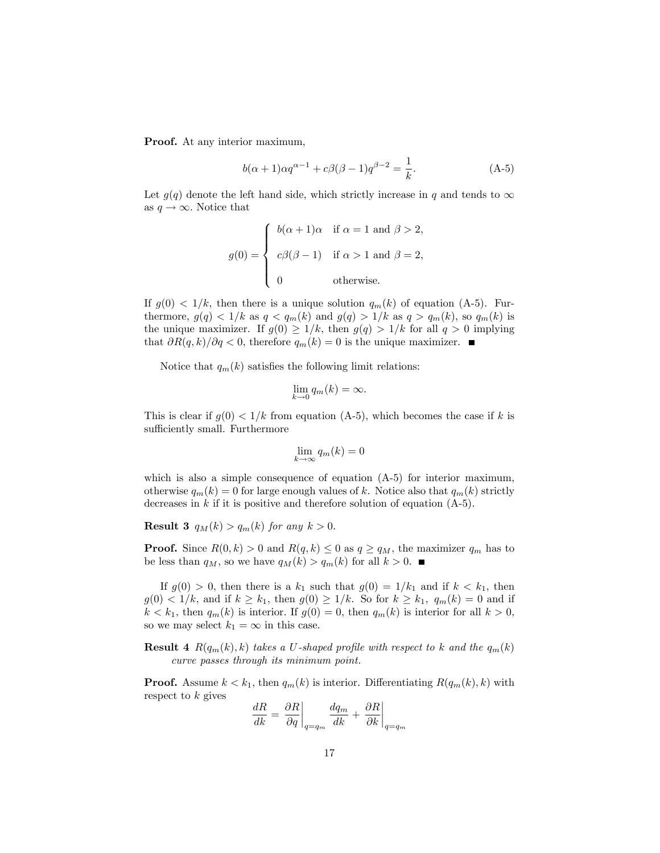Proof. At any interior maximum,

$$
b(\alpha + 1)\alpha q^{\alpha - 1} + c\beta(\beta - 1)q^{\beta - 2} = \frac{1}{k}.
$$
 (A-5)

Let  $g(q)$  denote the left hand side, which strictly increase in q and tends to  $\infty$ as  $q \to \infty$ . Notice that

$$
g(0) = \begin{cases} b(\alpha + 1)\alpha & \text{if } \alpha = 1 \text{ and } \beta > 2, \\ c\beta(\beta - 1) & \text{if } \alpha > 1 \text{ and } \beta = 2, \\ 0 & \text{otherwise.} \end{cases}
$$

If  $g(0) < 1/k$ , then there is a unique solution  $q_m(k)$  of equation (A-5). Furthermore,  $g(q) < 1/k$  as  $q < q_m(k)$  and  $g(q) > 1/k$  as  $q > q_m(k)$ , so  $q_m(k)$  is the unique maximizer. If  $g(0) \geq 1/k$ , then  $g(q) > 1/k$  for all  $q > 0$  implying that  $\partial R(q,k)/\partial q < 0$ , therefore  $q_m(k) = 0$  is the unique maximizer.

Notice that  $q_m(k)$  satisfies the following limit relations:

$$
\lim_{k \to 0} q_m(k) = \infty.
$$

This is clear if  $g(0) < 1/k$  from equation (A-5), which becomes the case if k is sufficiently small. Furthermore

$$
\lim_{k \to \infty} q_m(k) = 0
$$

which is also a simple consequence of equation  $(A-5)$  for interior maximum, otherwise  $q_m(k) = 0$  for large enough values of k. Notice also that  $q_m(k)$  strictly decreases in  $k$  if it is positive and therefore solution of equation  $(A-5)$ .

**Result 3**  $q_M(k) > q_m(k)$  for any  $k > 0$ .

**Proof.** Since  $R(0, k) > 0$  and  $R(q, k) \leq 0$  as  $q \geq q_M$ , the maximizer  $q_m$  has to be less than  $q_M$ , so we have  $q_M(k) > q_m(k)$  for all  $k > 0$ .

If  $g(0) > 0$ , then there is a  $k_1$  such that  $g(0) = 1/k_1$  and if  $k < k_1$ , then  $g(0) < 1/k$ , and if  $k \geq k_1$ , then  $g(0) \geq 1/k$ . So for  $k \geq k_1$ ,  $q_m(k) = 0$  and if  $k < k_1$ , then  $q_m(k)$  is interior. If  $g(0) = 0$ , then  $q_m(k)$  is interior for all  $k > 0$ , so we may select  $k_1 = \infty$  in this case.

**Result 4**  $R(q_m(k), k)$  takes a U-shaped profile with respect to k and the  $q_m(k)$ curve passes through its minimum point.

**Proof.** Assume  $k < k_1$ , then  $q_m(k)$  is interior. Differentiating  $R(q_m(k), k)$  with respect to  $k$  gives

$$
\frac{dR}{dk} = \left. \frac{\partial R}{\partial q} \right|_{q=q_m} \frac{dq_m}{dk} + \left. \frac{\partial R}{\partial k} \right|_{q=q_m}
$$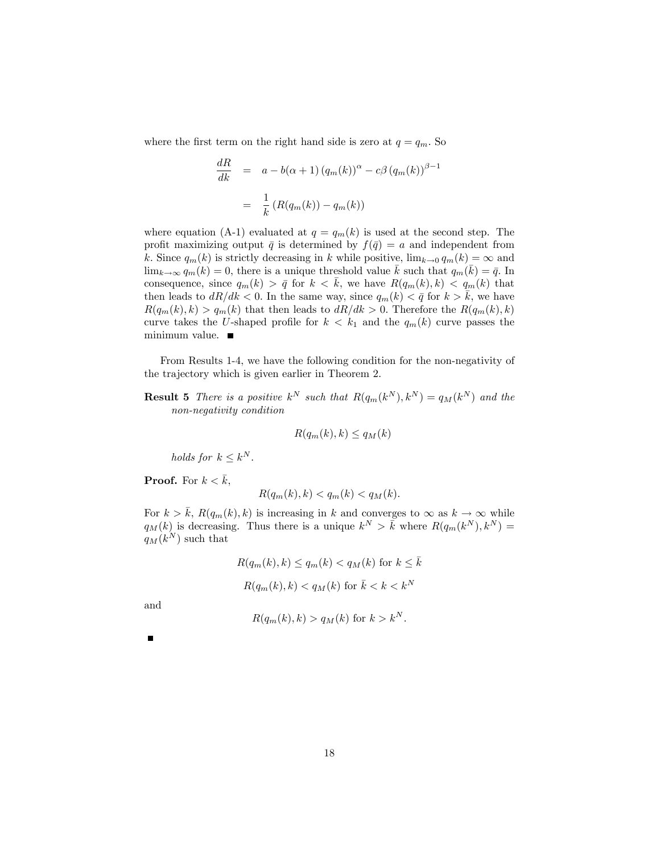where the first term on the right hand side is zero at  $q = q_m$ . So

$$
\frac{dR}{dk} = a - b(\alpha + 1) (q_m(k))^{\alpha} - c\beta (q_m(k))^{\beta - 1}
$$

$$
= \frac{1}{k} (R(q_m(k)) - q_m(k))
$$

where equation (A-1) evaluated at  $q = q_m(k)$  is used at the second step. The profit maximizing output  $\bar{q}$  is determined by  $f(\bar{q}) = a$  and independent from k. Since  $q_m(k)$  is strictly decreasing in k while positive,  $\lim_{k\to 0} q_m(k) = \infty$  and  $\lim_{k\to\infty} q_m(k) = 0$ , there is a unique threshold value  $\bar{k}$  such that  $q_m(\bar{k}) = \bar{q}$ . In consequence, since  $q_m(k) > \bar{q}$  for  $k < \bar{k}$ , we have  $R(q_m(k), k) < q_m(k)$  that then leads to  $dR/dk < 0$ . In the same way, since  $q_m(k) < \bar{q}$  for  $k > \bar{k}$ , we have  $R(q_m(k), k) > q_m(k)$  that then leads to  $dR/dk > 0$ . Therefore the  $R(q_m(k), k)$ curve takes the U-shaped profile for  $k < k_1$  and the  $q_m(k)$  curve passes the minimum value.

From Results 1-4, we have the following condition for the non-negativity of the trajectory which is given earlier in Theorem 2.

**Result 5** There is a positive  $k^N$  such that  $R(q_m(k^N), k^N) = q_M(k^N)$  and the non-negativity condition

$$
R(q_m(k),k) \le q_M(k)
$$

holds for  $k \leq k^N$ .

**Proof.** For  $k < \bar{k}$ ,

$$
R(q_m(k),k) < q_m(k) < q_M(k).
$$

For  $k > \overline{k}$ ,  $R(q_m(k), k)$  is increasing in k and converges to  $\infty$  as  $k \to \infty$  while  $q_M(k)$  is decreasing. Thus there is a unique  $k^N > \overline{k}$  where  $R(q_m(k^N), k^N) =$  $q_M(k^N)$  such that

$$
R(q_m(k), k) \le q_m(k) < q_M(k) \text{ for } k \le \bar{k}
$$
\n
$$
R(q_m(k), k) < q_M(k) \text{ for } \bar{k} < k < k^N
$$

and

$$
R(q_m(k),k) > q_M(k)
$$
 for  $k > k^N$ .